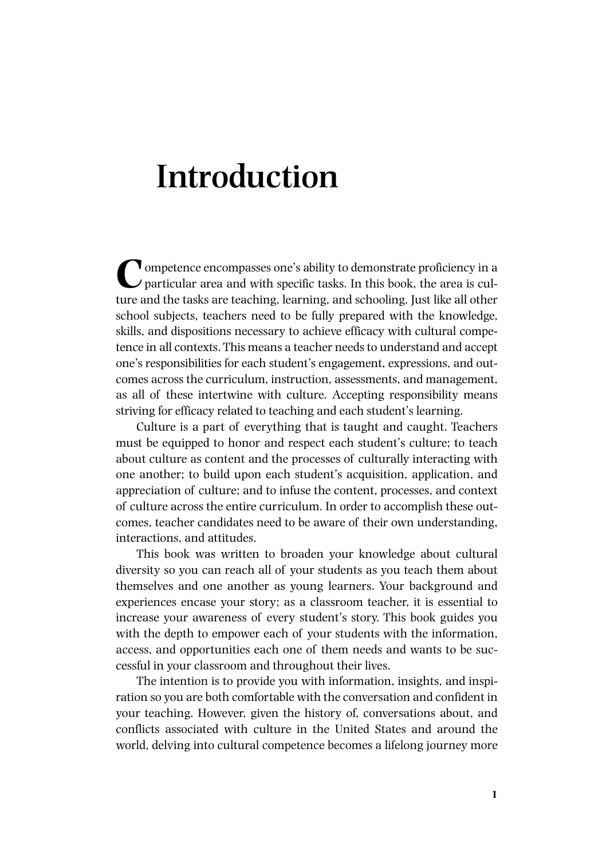## **Introduction**

Competence encompasses one's ability to demonstrate proficiency in a particular area and with specific tasks. In this book, the area is culture and the tasks are teaching, learning, and schooling. Just like all other school subjects, teachers need to be fully prepared with the knowledge, skills, and dispositions necessary to achieve efficacy with cultural competence in all contexts. This means a teacher needs to understand and accept one's responsibilities for each student's engagement, expressions, and outcomes across the curriculum, instruction, assessments, and management, as all of these intertwine with culture. Accepting responsibility means striving for efficacy related to teaching and each student's learning.

Culture is a part of everything that is taught and caught. Teachers must be equipped to honor and respect each student's culture; to teach about culture as content and the processes of culturally interacting with one another; to build upon each student's acquisition, application, and appreciation of culture; and to infuse the content, processes, and context of culture across the entire curriculum. In order to accomplish these outcomes, teacher candidates need to be aware of their own understanding, interactions, and attitudes.

This book was written to broaden your knowledge about cultural diversity so you can reach all of your students as you teach them about themselves and one another as young learners. Your background and experiences encase your story; as a classroom teacher, it is essential to increase your awareness of every student's story. This book guides you with the depth to empower each of your students with the information, access, and opportunities each one of them needs and wants to be successful in your classroom and throughout their lives.

The intention is to provide you with information, insights, and inspiration so you are both comfortable with the conversation and confident in your teaching. However, given the history of, conversations about, and conflicts associated with culture in the United States and around the world, delving into cultural competence becomes a lifelong journey more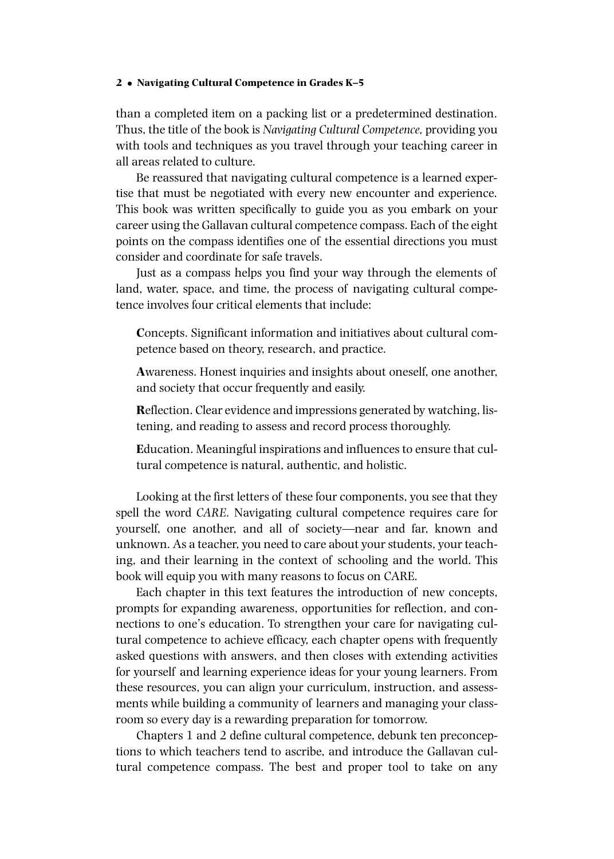## **2** • **Navigating Cultural Competence in Grades K–5**

than a completed item on a packing list or a predetermined destination. Thus, the title of the book is *Navigating Cultural Competence,* providing you with tools and techniques as you travel through your teaching career in all areas related to culture.

Be reassured that navigating cultural competence is a learned expertise that must be negotiated with every new encounter and experience. This book was written specifically to guide you as you embark on your career using the Gallavan cultural competence compass. Each of the eight points on the compass identifies one of the essential directions you must consider and coordinate for safe travels.

Just as a compass helps you find your way through the elements of land, water, space, and time, the process of navigating cultural competence involves four critical elements that include:

**C**oncepts. Significant information and initiatives about cultural competence based on theory, research, and practice.

**A**wareness. Honest inquiries and insights about oneself, one another, and society that occur frequently and easily.

**R**eflection. Clear evidence and impressions generated by watching, listening, and reading to assess and record process thoroughly.

**E**ducation. Meaningful inspirations and influences to ensure that cultural competence is natural, authentic, and holistic.

Looking at the first letters of these four components, you see that they spell the word *CARE.* Navigating cultural competence requires care for yourself, one another, and all of society—near and far, known and unknown. As a teacher, you need to care about your students, your teaching, and their learning in the context of schooling and the world. This book will equip you with many reasons to focus on CARE.

Each chapter in this text features the introduction of new concepts, prompts for expanding awareness, opportunities for reflection, and connections to one's education. To strengthen your care for navigating cultural competence to achieve efficacy, each chapter opens with frequently asked questions with answers, and then closes with extending activities for yourself and learning experience ideas for your young learners. From these resources, you can align your curriculum, instruction, and assessments while building a community of learners and managing your classroom so every day is a rewarding preparation for tomorrow.

Chapters 1 and 2 define cultural competence, debunk ten preconceptions to which teachers tend to ascribe, and introduce the Gallavan cultural competence compass. The best and proper tool to take on any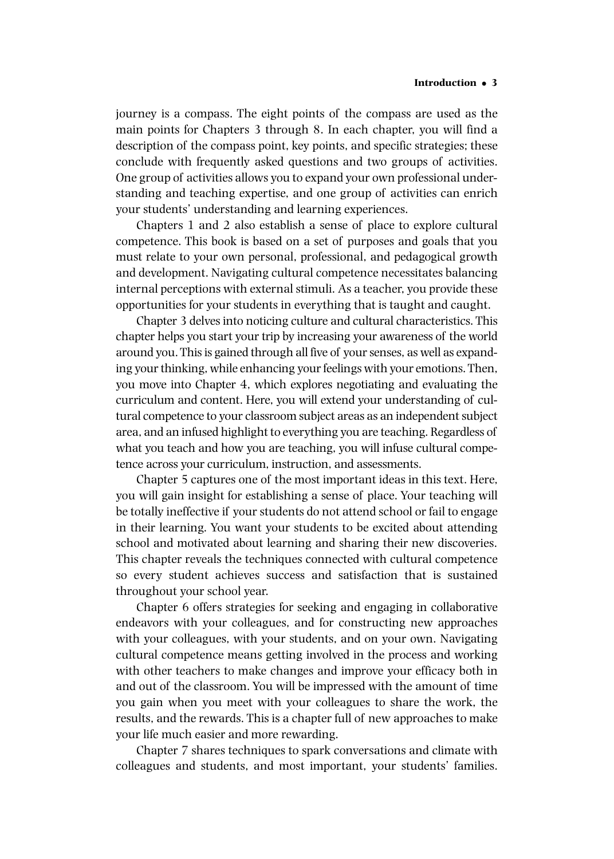journey is a compass. The eight points of the compass are used as the main points for Chapters 3 through 8. In each chapter, you will find a description of the compass point, key points, and specific strategies; these conclude with frequently asked questions and two groups of activities. One group of activities allows you to expand your own professional understanding and teaching expertise, and one group of activities can enrich your students' understanding and learning experiences.

Chapters 1 and 2 also establish a sense of place to explore cultural competence. This book is based on a set of purposes and goals that you must relate to your own personal, professional, and pedagogical growth and development. Navigating cultural competence necessitates balancing internal perceptions with external stimuli. As a teacher, you provide these opportunities for your students in everything that is taught and caught.

Chapter 3 delves into noticing culture and cultural characteristics. This chapter helps you start your trip by increasing your awareness of the world around you. This is gained through all five of your senses, as well as expanding your thinking, while enhancing your feelings with your emotions. Then, you move into Chapter 4, which explores negotiating and evaluating the curriculum and content. Here, you will extend your understanding of cultural competence to your classroom subject areas as an independent subject area, and an infused highlight to everything you are teaching. Regardless of what you teach and how you are teaching, you will infuse cultural competence across your curriculum, instruction, and assessments.

Chapter 5 captures one of the most important ideas in this text. Here, you will gain insight for establishing a sense of place. Your teaching will be totally ineffective if your students do not attend school or fail to engage in their learning. You want your students to be excited about attending school and motivated about learning and sharing their new discoveries. This chapter reveals the techniques connected with cultural competence so every student achieves success and satisfaction that is sustained throughout your school year.

Chapter 6 offers strategies for seeking and engaging in collaborative endeavors with your colleagues, and for constructing new approaches with your colleagues, with your students, and on your own. Navigating cultural competence means getting involved in the process and working with other teachers to make changes and improve your efficacy both in and out of the classroom. You will be impressed with the amount of time you gain when you meet with your colleagues to share the work, the results, and the rewards. This is a chapter full of new approaches to make your life much easier and more rewarding.

Chapter 7 shares techniques to spark conversations and climate with colleagues and students, and most important, your students' families.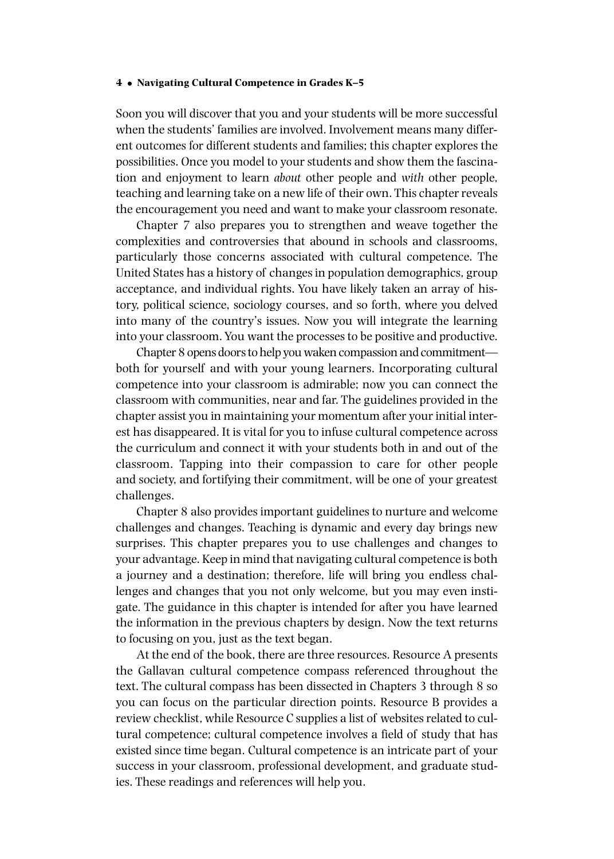## **4** • **Navigating Cultural Competence in Grades K–5**

Soon you will discover that you and your students will be more successful when the students' families are involved. Involvement means many different outcomes for different students and families; this chapter explores the possibilities. Once you model to your students and show them the fascination and enjoyment to learn *about* other people and *with* other people, teaching and learning take on a new life of their own. This chapter reveals the encouragement you need and want to make your classroom resonate.

Chapter 7 also prepares you to strengthen and weave together the complexities and controversies that abound in schools and classrooms, particularly those concerns associated with cultural competence. The United States has a history of changes in population demographics, group acceptance, and individual rights. You have likely taken an array of history, political science, sociology courses, and so forth, where you delved into many of the country's issues. Now you will integrate the learning into your classroom.You want the processes to be positive and productive.

Chapter 8 opens doors to help you waken compassion and commitment both for yourself and with your young learners. Incorporating cultural competence into your classroom is admirable; now you can connect the classroom with communities, near and far. The guidelines provided in the chapter assist you in maintaining your momentum after your initial interest has disappeared. It is vital for you to infuse cultural competence across the curriculum and connect it with your students both in and out of the classroom. Tapping into their compassion to care for other people and society, and fortifying their commitment, will be one of your greatest challenges.

Chapter 8 also provides important guidelines to nurture and welcome challenges and changes. Teaching is dynamic and every day brings new surprises. This chapter prepares you to use challenges and changes to your advantage. Keep in mind that navigating cultural competence is both a journey and a destination; therefore, life will bring you endless challenges and changes that you not only welcome, but you may even instigate. The guidance in this chapter is intended for after you have learned the information in the previous chapters by design. Now the text returns to focusing on you, just as the text began.

At the end of the book, there are three resources. Resource A presents the Gallavan cultural competence compass referenced throughout the text. The cultural compass has been dissected in Chapters 3 through 8 so you can focus on the particular direction points. Resource B provides a review checklist, while Resource C supplies a list of websites related to cultural competence; cultural competence involves a field of study that has existed since time began. Cultural competence is an intricate part of your success in your classroom, professional development, and graduate studies. These readings and references will help you.